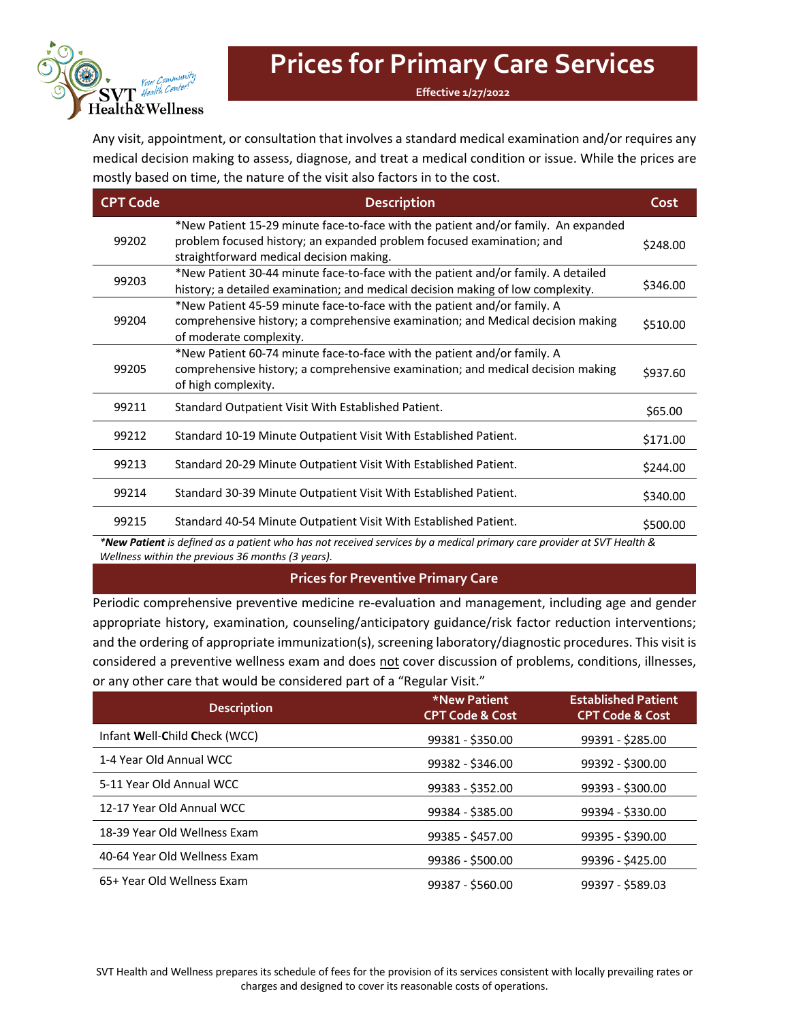

## **Prices for Primary Care Services**

**Effective 1/27/2022**

Any visit, appointment, or consultation that involves a standard medical examination and/or requires any medical decision making to assess, diagnose, and treat a medical condition or issue. While the prices are mostly based on time, the nature of the visit also factors in to the cost.

| <b>CPT Code</b> | <b>Description</b>                                                                                                                                                                                      | Cost     |
|-----------------|---------------------------------------------------------------------------------------------------------------------------------------------------------------------------------------------------------|----------|
| 99202           | *New Patient 15-29 minute face-to-face with the patient and/or family. An expanded<br>problem focused history; an expanded problem focused examination; and<br>straightforward medical decision making. | \$248.00 |
| 99203           | *New Patient 30-44 minute face-to-face with the patient and/or family. A detailed<br>history; a detailed examination; and medical decision making of low complexity.                                    | \$346.00 |
| 99204           | *New Patient 45-59 minute face-to-face with the patient and/or family. A<br>comprehensive history; a comprehensive examination; and Medical decision making<br>of moderate complexity.                  | \$510.00 |
| 99205           | *New Patient 60-74 minute face-to-face with the patient and/or family. A<br>comprehensive history; a comprehensive examination; and medical decision making<br>of high complexity.                      | \$937.60 |
| 99211           | Standard Outpatient Visit With Established Patient.                                                                                                                                                     | \$65.00  |
| 99212           | Standard 10-19 Minute Outpatient Visit With Established Patient.                                                                                                                                        | \$171.00 |
| 99213           | Standard 20-29 Minute Outpatient Visit With Established Patient.                                                                                                                                        | \$244.00 |
| 99214           | Standard 30-39 Minute Outpatient Visit With Established Patient.                                                                                                                                        | \$340.00 |
| 99215           | Standard 40-54 Minute Outpatient Visit With Established Patient.                                                                                                                                        | \$500.00 |

*\*New Patient is defined as a patient who has not received services by a medical primary care provider at SVT Health & Wellness within the previous 36 months (3 years).*

### **Prices for Preventive Primary Care**

Periodic comprehensive preventive medicine re-evaluation and management, including age and gender appropriate history, examination, counseling/anticipatory guidance/risk factor reduction interventions; and the ordering of appropriate immunization(s), screening laboratory/diagnostic procedures. This visit is considered a preventive wellness exam and does not cover discussion of problems, conditions, illnesses, or any other care that would be considered part of a "Regular Visit."

| <b>Description</b>            | *New Patient<br><b>CPT Code &amp; Cost</b> | <b>Established Patient</b><br><b>CPT Code &amp; Cost</b> |
|-------------------------------|--------------------------------------------|----------------------------------------------------------|
| Infant Well-Child Check (WCC) | 99381 - \$350.00                           | 99391 - \$285.00                                         |
| 1-4 Year Old Annual WCC       | 99382 - \$346.00                           | 99392 - \$300.00                                         |
| 5-11 Year Old Annual WCC      | 99383 - \$352.00                           | 99393 - \$300.00                                         |
| 12-17 Year Old Annual WCC     | 99384 - \$385.00                           | 99394 - \$330.00                                         |
| 18-39 Year Old Wellness Exam  | 99385 - \$457.00                           | 99395 - \$390.00                                         |
| 40-64 Year Old Wellness Exam  | 99386 - \$500.00                           | 99396 - \$425.00                                         |
| 65+ Year Old Wellness Exam    | 99387 - \$560.00                           | 99397 - \$589.03                                         |